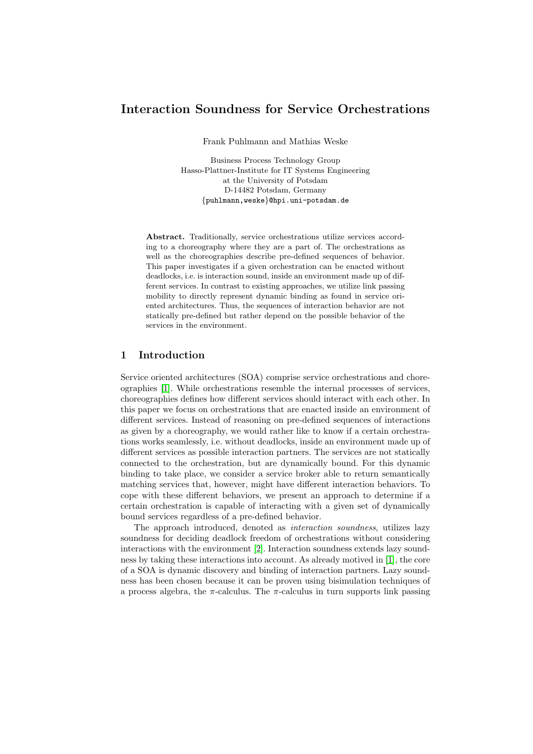# Interaction Soundness for Service Orchestrations

Frank Puhlmann and Mathias Weske

Business Process Technology Group Hasso-Plattner-Institute for IT Systems Engineering at the University of Potsdam D-14482 Potsdam, Germany {puhlmann,weske}@hpi.uni-potsdam.de

Abstract. Traditionally, service orchestrations utilize services according to a choreography where they are a part of. The orchestrations as well as the choreographies describe pre-defined sequences of behavior. This paper investigates if a given orchestration can be enacted without deadlocks, i.e. is interaction sound, inside an environment made up of different services. In contrast to existing approaches, we utilize link passing mobility to directly represent dynamic binding as found in service oriented architectures. Thus, the sequences of interaction behavior are not statically pre-defined but rather depend on the possible behavior of the services in the environment.

## 1 Introduction

Service oriented architectures (SOA) comprise service orchestrations and choreographies [\[1\]](#page-10-0). While orchestrations resemble the internal processes of services, choreographies defines how different services should interact with each other. In this paper we focus on orchestrations that are enacted inside an environment of different services. Instead of reasoning on pre-defined sequences of interactions as given by a choreography, we would rather like to know if a certain orchestrations works seamlessly, i.e. without deadlocks, inside an environment made up of different services as possible interaction partners. The services are not statically connected to the orchestration, but are dynamically bound. For this dynamic binding to take place, we consider a service broker able to return semantically matching services that, however, might have different interaction behaviors. To cope with these different behaviors, we present an approach to determine if a certain orchestration is capable of interacting with a given set of dynamically bound services regardless of a pre-defined behavior.

The approach introduced, denoted as *interaction soundness*, utilizes lazy soundness for deciding deadlock freedom of orchestrations without considering interactions with the environment [\[2\]](#page-10-1). Interaction soundness extends lazy soundness by taking these interactions into account. As already motived in [\[1\]](#page-10-0), the core of a SOA is dynamic discovery and binding of interaction partners. Lazy soundness has been chosen because it can be proven using bisimulation techniques of a process algebra, the  $\pi$ -calculus. The  $\pi$ -calculus in turn supports link passing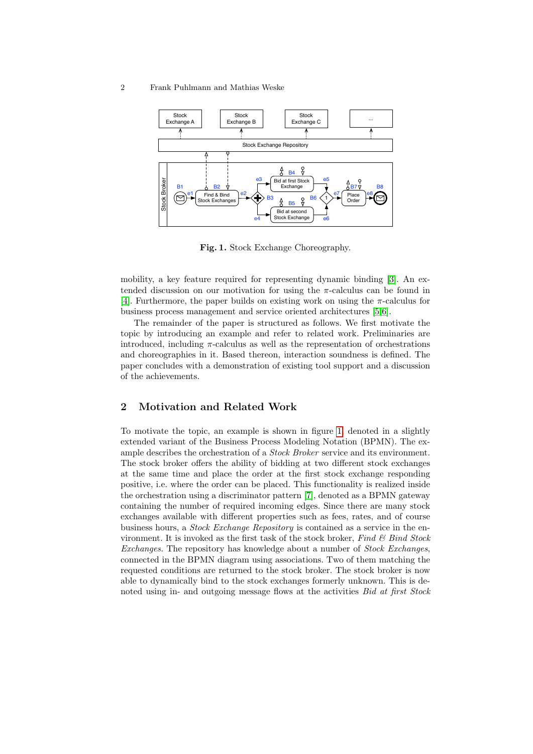

<span id="page-1-0"></span>Fig. 1. Stock Exchange Choreography.

mobility, a key feature required for representing dynamic binding [\[3\]](#page-10-2). An extended discussion on our motivation for using the  $\pi$ -calculus can be found in [\[4\]](#page-11-0). Furthermore, the paper builds on existing work on using the  $\pi$ -calculus for business process management and service oriented architectures [\[5,](#page-11-1)[6\]](#page-11-2).

The remainder of the paper is structured as follows. We first motivate the topic by introducing an example and refer to related work. Preliminaries are introduced, including  $\pi$ -calculus as well as the representation of orchestrations and choreographies in it. Based thereon, interaction soundness is defined. The paper concludes with a demonstration of existing tool support and a discussion of the achievements.

## <span id="page-1-1"></span>2 Motivation and Related Work

To motivate the topic, an example is shown in figure [1,](#page-1-0) denoted in a slightly extended variant of the Business Process Modeling Notation (BPMN). The example describes the orchestration of a Stock Broker service and its environment. The stock broker offers the ability of bidding at two different stock exchanges at the same time and place the order at the first stock exchange responding positive, i.e. where the order can be placed. This functionality is realized inside the orchestration using a discriminator pattern [\[7\]](#page-11-3), denoted as a BPMN gateway containing the number of required incoming edges. Since there are many stock exchanges available with different properties such as fees, rates, and of course business hours, a Stock Exchange Repository is contained as a service in the environment. It is invoked as the first task of the stock broker, Find  $\mathcal{C}$  Bind Stock Exchanges. The repository has knowledge about a number of Stock Exchanges, connected in the BPMN diagram using associations. Two of them matching the requested conditions are returned to the stock broker. The stock broker is now able to dynamically bind to the stock exchanges formerly unknown. This is denoted using in- and outgoing message flows at the activities Bid at first Stock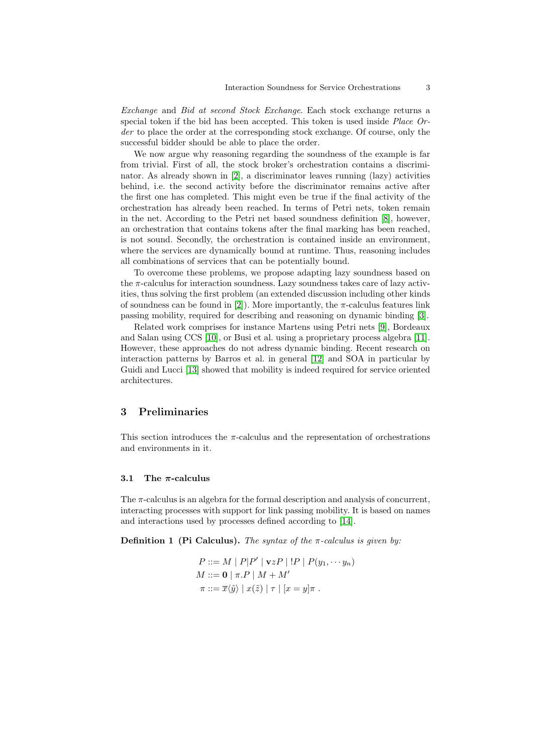Exchange and Bid at second Stock Exchange. Each stock exchange returns a special token if the bid has been accepted. This token is used inside Place Order to place the order at the corresponding stock exchange. Of course, only the successful bidder should be able to place the order.

We now argue why reasoning regarding the soundness of the example is far from trivial. First of all, the stock broker's orchestration contains a discriminator. As already shown in [\[2\]](#page-10-1), a discriminator leaves running (lazy) activities behind, i.e. the second activity before the discriminator remains active after the first one has completed. This might even be true if the final activity of the orchestration has already been reached. In terms of Petri nets, token remain in the net. According to the Petri net based soundness definition [\[8\]](#page-11-4), however, an orchestration that contains tokens after the final marking has been reached, is not sound. Secondly, the orchestration is contained inside an environment, where the services are dynamically bound at runtime. Thus, reasoning includes all combinations of services that can be potentially bound.

To overcome these problems, we propose adapting lazy soundness based on the  $\pi$ -calculus for interaction soundness. Lazy soundness takes care of lazy activities, thus solving the first problem (an extended discussion including other kinds of soundness can be found in [\[2\]](#page-10-1)). More importantly, the  $\pi$ -calculus features link passing mobility, required for describing and reasoning on dynamic binding [\[3\]](#page-10-2).

Related work comprises for instance Martens using Petri nets [\[9\]](#page-11-5), Bordeaux and Salan using CCS [\[10\]](#page-11-6), or Busi et al. using a proprietary process algebra [\[11\]](#page-11-7). However, these approaches do not adress dynamic binding. Recent research on interaction patterns by Barros et al. in general [\[12\]](#page-11-8) and SOA in particular by Guidi and Lucci [\[13\]](#page-11-9) showed that mobility is indeed required for service oriented architectures.

## 3 Preliminaries

This section introduces the  $\pi$ -calculus and the representation of orchestrations and environments in it.

#### 3.1 The  $\pi$ -calculus

The  $\pi$ -calculus is an algebra for the formal description and analysis of concurrent, interacting processes with support for link passing mobility. It is based on names and interactions used by processes defined according to [\[14\]](#page-11-10).

**Definition 1 (Pi Calculus).** The syntax of the  $\pi$ -calculus is given by:

$$
P ::= M | P|P' | vzP | !P | P(y_1, \cdots y_n)
$$
  
\n
$$
M ::= \mathbf{0} | \pi.P | M + M'
$$
  
\n
$$
\pi ::= \overline{x}\langle \tilde{y} \rangle | x(\tilde{z}) | \tau | [x = y] \pi .
$$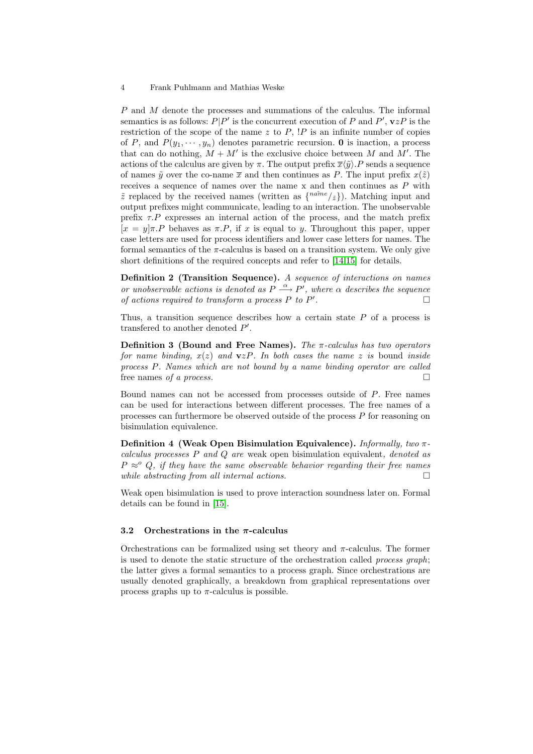P and M denote the processes and summations of the calculus. The informal semantics is as follows:  $P|P'$  is the concurrent execution of P and P',  $vzP$  is the restriction of the scope of the name  $z$  to  $P$ ,  $\overline{P}$  is an infinite number of copies of P, and  $P(y_1, \dots, y_n)$  denotes parametric recursion. 0 is inaction, a process that can do nothing,  $M + M'$  is the exclusive choice between M and M'. The actions of the calculus are given by  $\pi$ . The output prefix  $\bar{x}\langle \tilde{y} \rangle$ . P sends a sequence of names  $\tilde{y}$  over the co-name  $\bar{x}$  and then continues as P. The input prefix  $x(\tilde{z})$ receives a sequence of names over the name x and then continues as P with  $\tilde{z}$  replaced by the received names (written as  $\{n\tilde{a}me/z\}$ ). Matching input and output prefixes might communicate, leading to an interaction. The unobservable prefix  $\tau.P$  expresses an internal action of the process, and the match prefix  $[x = y]\pi.P$  behaves as  $\pi.P$ , if x is equal to y. Throughout this paper, upper case letters are used for process identifiers and lower case letters for names. The formal semantics of the  $\pi$ -calculus is based on a transition system. We only give short definitions of the required concepts and refer to [\[14,](#page-11-10)[15\]](#page-11-11) for details.

Definition 2 (Transition Sequence). A sequence of interactions on names or unobservable actions is denoted as  $P \stackrel{\alpha}{\longrightarrow} P'$ , where  $\alpha$  describes the sequence of actions required to transform a process  $P$  to  $P'$ .

Thus, a transition sequence describes how a certain state  $P$  of a process is transferred to another denoted  $P'$ .

Definition 3 (Bound and Free Names). The  $\pi$ -calculus has two operators for name binding,  $x(z)$  and  $vzP$ . In both cases the name z is bound inside process P. Names which are not bound by a name binding operator are called free names of a process.

Bound names can not be accessed from processes outside of P. Free names can be used for interactions between different processes. The free names of a processes can furthermore be observed outside of the process P for reasoning on bisimulation equivalence.

Definition 4 (Weak Open Bisimulation Equivalence). Informally, two  $\pi$ calculus processes P and Q are weak open bisimulation equivalent, denoted as  $P \approx^{\circ} Q$ , if they have the same observable behavior regarding their free names while abstracting from all internal actions.  $\Box$ 

Weak open bisimulation is used to prove interaction soundness later on. Formal details can be found in [\[15\]](#page-11-11).

### 3.2 Orchestrations in the  $\pi$ -calculus

Orchestrations can be formalized using set theory and  $\pi$ -calculus. The former is used to denote the static structure of the orchestration called process graph; the latter gives a formal semantics to a process graph. Since orchestrations are usually denoted graphically, a breakdown from graphical representations over process graphs up to  $\pi$ -calculus is possible.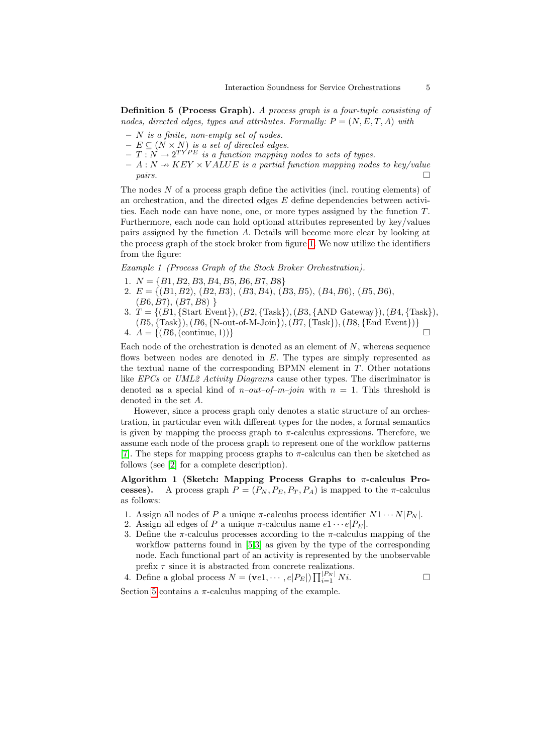Definition 5 (Process Graph). A process graph is a four-tuple consisting of nodes, directed edges, types and attributes. Formally:  $P = (N, E, T, A)$  with

- $N$  is a finite, non-empty set of nodes.
- $E \subseteq (N \times N)$  is a set of directed edges.
- $-T: N \to 2^{TYPE}$  is a function mapping nodes to sets of types.
- $A : N \rightarrow KEY \times VALUE$  is a partial function mapping nodes to key/value  $pairs.$

The nodes  $N$  of a process graph define the activities (incl. routing elements) of an orchestration, and the directed edges  $E$  define dependencies between activities. Each node can have none, one, or more types assigned by the function T. Furthermore, each node can hold optional attributes represented by key/values pairs assigned by the function A. Details will become more clear by looking at the process graph of the stock broker from figure [1.](#page-1-0) We now utilize the identifiers from the figure:

Example 1 (Process Graph of the Stock Broker Orchestration).

- 1.  $N = \{B1, B2, B3, B4, B5, B6, B7, B8\}$
- 2.  $E = \{(B1, B2), (B2, B3), (B3, B4), (B3, B5), (B4, B6), (B5, B6),\}$  $(B6, B7), (B7, B8)$ }
- 3.  $T = \{(B1, \{Start Event\}), (B2, \{Task\}), (B3, \{AND Gateway\}), (B4, \{Task\}),$  $(B5, {Task}), (B6, {N-out-of-M-Join}), (B7, {Task}), (B8, {End Event})\}$
- 4.  $A = \{(B6, (continue, 1))\}$

Each node of the orchestration is denoted as an element of  $N$ , whereas sequence flows between nodes are denoted in  $E$ . The types are simply represented as the textual name of the corresponding BPMN element in  $T$ . Other notations like *EPCs* or *UML2 Activity Diagrams* cause other types. The discriminator is denoted as a special kind of  $n$ –out–of–m–join with  $n = 1$ . This threshold is denoted in the set A.

However, since a process graph only denotes a static structure of an orchestration, in particular even with different types for the nodes, a formal semantics is given by mapping the process graph to  $\pi$ -calculus expressions. Therefore, we assume each node of the process graph to represent one of the workflow patterns [\[7\]](#page-11-3). The steps for mapping process graphs to  $\pi$ -calculus can then be sketched as follows (see [\[2\]](#page-10-1) for a complete description).

Algorithm 1 (Sketch: Mapping Process Graphs to  $\pi$ -calculus Processes). A process graph  $P = (P_N, P_E, P_T, P_A)$  is mapped to the  $\pi$ -calculus as follows:

- 1. Assign all nodes of P a unique  $\pi$ -calculus process identifier  $N1 \cdots N|P_N|$ .
- 2. Assign all edges of P a unique  $\pi$ -calculus name  $e_1 \cdots e_{|P_E|}$ .
- 3. Define the  $\pi$ -calculus processes according to the  $\pi$ -calculus mapping of the workflow patterns found in [\[5,](#page-11-1)[3\]](#page-10-2) as given by the type of the corresponding node. Each functional part of an activity is represented by the unobservable prefix  $\tau$  since it is abstracted from concrete realizations.
- 4. Define a global process  $N = (\mathbf{v}e1, \dots, e|P_E|) \prod_{i=1}^{|P_N|} Ni.$

Section [5](#page-8-0) contains a  $\pi$ -calculus mapping of the example.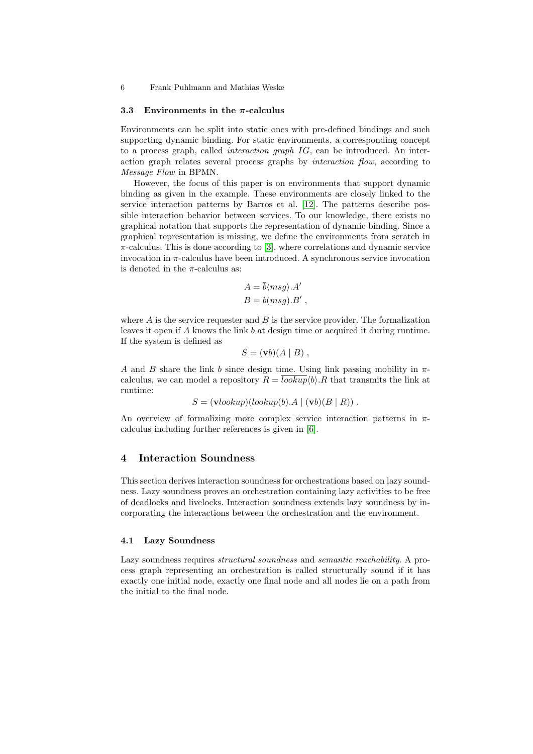#### 3.3 Environments in the  $\pi$ -calculus

Environments can be split into static ones with pre-defined bindings and such supporting dynamic binding. For static environments, a corresponding concept to a process graph, called *interaction graph*  $IG$ , can be introduced. An interaction graph relates several process graphs by interaction flow, according to Message Flow in BPMN.

However, the focus of this paper is on environments that support dynamic binding as given in the example. These environments are closely linked to the service interaction patterns by Barros et al. [\[12\]](#page-11-8). The patterns describe possible interaction behavior between services. To our knowledge, there exists no graphical notation that supports the representation of dynamic binding. Since a graphical representation is missing, we define the environments from scratch in  $\pi$ -calculus. This is done according to [\[3\]](#page-10-2), where correlations and dynamic service invocation in  $\pi$ -calculus have been introduced. A synchronous service invocation is denoted in the  $\pi$ -calculus as:

$$
A = \overline{b} \langle msg \rangle A'
$$
  

$$
B = b(msg).B'
$$
,

where  $A$  is the service requester and  $B$  is the service provider. The formalization leaves it open if A knows the link b at design time or acquired it during runtime. If the system is defined as

$$
S = (\mathbf{v}b)(A \mid B) ,
$$

A and B share the link b since design time. Using link passing mobility in  $\pi$ calculus, we can model a repository  $R = \overline{lookup} \langle b \rangle \langle R \rangle$ . That transmits the link at runtime:

$$
S = (\mathbf{v} \mathit{lookup}) (\mathit{lookup}(b) \mathit{.} A \mid (\mathbf{v} \mathit{b}) (B \mid R)) \; .
$$

An overview of formalizing more complex service interaction patterns in  $\pi$ calculus including further references is given in [\[6\]](#page-11-2).

## 4 Interaction Soundness

This section derives interaction soundness for orchestrations based on lazy soundness. Lazy soundness proves an orchestration containing lazy activities to be free of deadlocks and livelocks. Interaction soundness extends lazy soundness by incorporating the interactions between the orchestration and the environment.

#### 4.1 Lazy Soundness

Lazy soundness requires structural soundness and semantic reachability. A process graph representing an orchestration is called structurally sound if it has exactly one initial node, exactly one final node and all nodes lie on a path from the initial to the final node.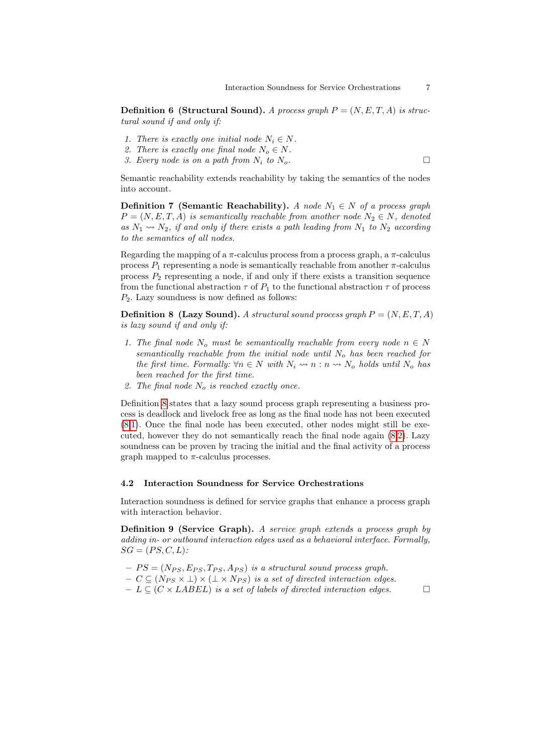**Definition 6 (Structural Sound).** A process graph  $P = (N, E, T, A)$  is structural sound if and only if:

- 1. There is exactly one initial node  $N_i \in N$ .
- 2. There is exactly one final node  $N_o \in N$ .
- 3. Every node is on a path from  $N_i$  to  $N_o$ .

Semantic reachability extends reachability by taking the semantics of the nodes into account.

**Definition 7 (Semantic Reachability).** A node  $N_1 \in N$  of a process graph  $P = (N, E, T, A)$  is semantically reachable from another node  $N_2 \in N$ , denoted as  $N_1 \rightsquigarrow N_2$ , if and only if there exists a path leading from  $N_1$  to  $N_2$  according to the semantics of all nodes.

Regarding the mapping of a  $\pi$ -calculus process from a process graph, a  $\pi$ -calculus process  $P_1$  representing a node is semantically reachable from another  $\pi$ -calculus process  $P_2$  representing a node, if and only if there exists a transition sequence from the functional abstraction  $\tau$  of  $P_1$  to the functional abstraction  $\tau$  of process  $P_2$ . Lazy soundness is now defined as follows:

<span id="page-6-0"></span>**Definition 8 (Lazy Sound).** A structural sound process graph  $P = (N, E, T, A)$ is lazy sound if and only if:

- <span id="page-6-1"></span>1. The final node  $N_o$  must be semantically reachable from every node  $n \in N$ semantically reachable from the initial node until  $N<sub>o</sub>$  has been reached for the first time. Formally:  $\forall n \in N$  with  $N_i \rightsquigarrow n : n \rightsquigarrow N_o$  holds until  $N_o$  has been reached for the first time.
- <span id="page-6-2"></span>2. The final node  $N_o$  is reached exactly once.

Definition [8](#page-6-0) states that a lazy sound process graph representing a business process is deadlock and livelock free as long as the final node has not been executed [\(8](#page-6-0)[.1\)](#page-6-1). Once the final node has been executed, other nodes might still be executed, however they do not semantically reach the final node again [\(8.](#page-6-0)[2\)](#page-6-2). Lazy soundness can be proven by tracing the initial and the final activity of a process graph mapped to  $\pi$ -calculus processes.

#### 4.2 Interaction Soundness for Service Orchestrations

Interaction soundness is defined for service graphs that enhance a process graph with interaction behavior.

Definition 9 (Service Graph). A service graph extends a process graph by adding in- or outbound interaction edges used as a behavioral interface. Formally,  $SG = (PS, C, L)$ :

- $PS = (N_{PS}, E_{PS}, T_{PS}, A_{PS})$  is a structural sound process graph.
- $-C \subseteq (N_{PS} \times \perp) \times (\perp \times N_{PS})$  is a set of directed interaction edges.
- $-L \subseteq (C \times LABEL)$  is a set of labels of directed interaction edges.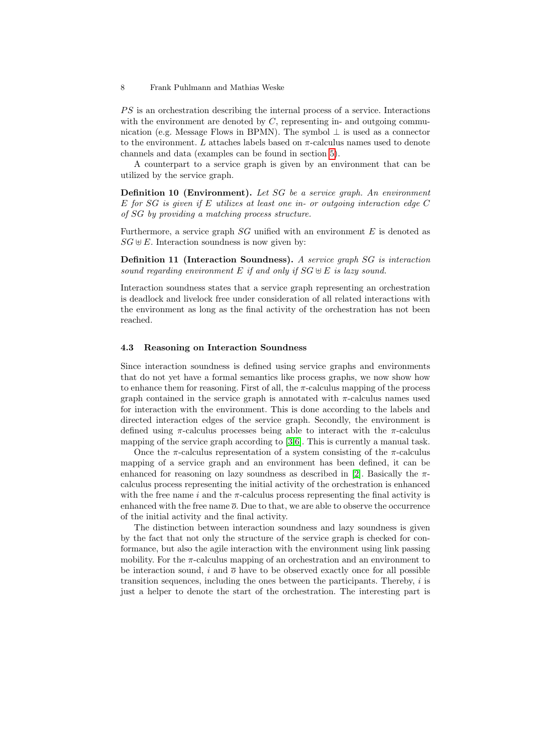PS is an orchestration describing the internal process of a service. Interactions with the environment are denoted by  $C$ , representing in- and outgoing communication (e.g. Message Flows in BPMN). The symbol  $\perp$  is used as a connector to the environment. L attaches labels based on  $\pi$ -calculus names used to denote channels and data (examples can be found in section [5\)](#page-8-0).

A counterpart to a service graph is given by an environment that can be utilized by the service graph.

Definition 10 (Environment). Let SG be a service graph. An environment  $E$  for  $SG$  is given if  $E$  utilizes at least one in- or outgoing interaction edge  $C$ of SG by providing a matching process structure.

Furthermore, a service graph  $SG$  unified with an environment E is denoted as  $SG \oplus E$ . Interaction soundness is now given by:

Definition 11 (Interaction Soundness). A service graph SG is interaction sound regarding environment E if and only if  $SG \oplus E$  is lazy sound.

Interaction soundness states that a service graph representing an orchestration is deadlock and livelock free under consideration of all related interactions with the environment as long as the final activity of the orchestration has not been reached.

#### 4.3 Reasoning on Interaction Soundness

Since interaction soundness is defined using service graphs and environments that do not yet have a formal semantics like process graphs, we now show how to enhance them for reasoning. First of all, the  $\pi$ -calculus mapping of the process graph contained in the service graph is annotated with  $\pi$ -calculus names used for interaction with the environment. This is done according to the labels and directed interaction edges of the service graph. Secondly, the environment is defined using  $\pi$ -calculus processes being able to interact with the  $\pi$ -calculus mapping of the service graph according to [\[3,](#page-10-2)[6\]](#page-11-2). This is currently a manual task.

Once the  $\pi$ -calculus representation of a system consisting of the  $\pi$ -calculus mapping of a service graph and an environment has been defined, it can be enhanced for reasoning on lazy soundness as described in [\[2\]](#page-10-1). Basically the  $\pi$ calculus process representing the initial activity of the orchestration is enhanced with the free name i and the  $\pi$ -calculus process representing the final activity is enhanced with the free name  $\overline{o}$ . Due to that, we are able to observe the occurrence of the initial activity and the final activity.

The distinction between interaction soundness and lazy soundness is given by the fact that not only the structure of the service graph is checked for conformance, but also the agile interaction with the environment using link passing mobility. For the  $\pi$ -calculus mapping of an orchestration and an environment to be interaction sound, i and  $\bar{\sigma}$  have to be observed exactly once for all possible transition sequences, including the ones between the participants. Thereby,  $i$  is just a helper to denote the start of the orchestration. The interesting part is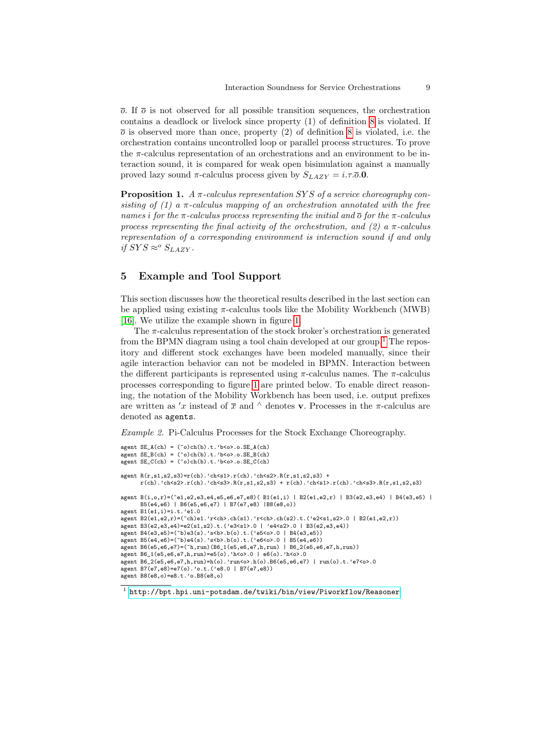$\overline{o}$ . If  $\overline{o}$  is not observed for all possible transition sequences, the orchestration contains a deadlock or livelock since property (1) of definition [8](#page-6-0) is violated. If  $\overline{o}$  is observed more than once, property (2) of definition [8](#page-6-0) is violated, i.e. the orchestration contains uncontrolled loop or parallel process structures. To prove the  $\pi$ -calculus representation of an orchestrations and an environment to be interaction sound, it is compared for weak open bisimulation against a manually proved lazy sound  $\pi$ -calculus process given by  $S_{LAZY} = i.\tau.\bar{\sigma}$ .0.

**Proposition 1.** A  $\pi$ -calculus representation SYS of a service choreography consisting of (1) a  $\pi$ -calculus mapping of an orchestration annotated with the free names i for the  $\pi$ -calculus process representing the initial and  $\bar{\sigma}$  for the  $\pi$ -calculus process representing the final activity of the orchestration, and (2) a  $\pi$ -calculus representation of a corresponding environment is interaction sound if and only if  $SYS \approx^{\circ} S_{LAZY}$ .

## <span id="page-8-0"></span>5 Example and Tool Support

This section discusses how the theoretical results described in the last section can be applied using existing  $\pi$ -calculus tools like the Mobility Workbench (MWB) [\[16\]](#page-11-12). We utilize the example shown in figure [1.](#page-1-0)

The  $\pi$ -calculus representation of the stock broker's orchestration is generated from the BPMN diagram using a tool chain developed at our group.<sup>[1](#page-8-1)</sup> The repository and different stock exchanges have been modeled manually, since their agile interaction behavior can not be modeled in BPMN. Interaction between the different participants is represented using  $\pi$ -calculus names. The  $\pi$ -calculus processes corresponding to figure [1](#page-1-0) are printed below. To enable direct reasoning, the notation of the Mobility Workbench has been used, i.e. output prefixes are written as 'x instead of  $\overline{x}$  and  $\wedge$  denotes **v**. Processes in the  $\pi$ -calculus are denoted as agents.

Example 2. Pi-Calculus Processes for the Stock Exchange Choreography.

```
agent SE_A(ch) = (°o)ch(b).t.^b<o>.SE_A(ch)agent SE_B(ch) = (o)ch(b).t.^b<0>.SE_B(ch)agent SE_C(ch) = (o)ch(b) .t. 'b<0>0.SE_C(ch)agent R(r,s1,s2,s3)=r(ch).'ch<s1>.r(ch).'ch<s2>.R(r,s1,s2,s3) +
      r(ch).'ch<s2>.r(ch).'ch<s3>.R(r,s1,s2,s3) + r(ch).'ch<s1>.r(ch).'ch<s3>.R(r,s1,s2,s3)agent B(i,o,r)=(^e1,e2,e3,e4,e5,e6,e7,e8)( B1(e1,i) | B2(e1,e2,r) | B3(e2,e3,e4) | B4(e3,e5) |
     B5(e4,e6) | B6(e5,e6,e7) | B7(e7,e8) |B8(e8,o))
agent B1(e1,i)=i.t. 'e1.0agent B2(e1,e2,r)=(^ch)e1.'r<ch>.ch(s1).'r<ch>.ch(s2).t.('e2<s1,s2>.0 | B2(e1,e2,r))
agent B3(e2,e3,e4)=e2(s1,s2).t.('e3<s1>.0 | 'e4<s2>.0 | B3(e2,e3,e4))
agent B4(e3,e5)=(^b)e3(s).'s<b>.b(o).t.('e5<o>.0 | B4(e3,e5))
agent B5(e4,e6)=(^b)e4(s).'s<b>.b(o).t.('e6<o>.0 | B5(e4,e6))
agent B6(e5,e6,e7)=(^h,run)(B6_1(e5,e6,e7,h,run) | B6_2(e5,e6,e7,h,run))
agent B6_1(e5,e6,e7,h,run)=e5(o).'h<o>.0 | e6(o).'h<o>.0
agent B6 2(e5,e6,e7,h,run)=h(o).'run<o>.h(o).B6(e5,e6,e7) | run(o).t.'e7<o>.0
agent B7(e7,e8)=e7(o).'o.t.('e8.0 | B7(e7,e8))
agent B8(e8,o)=e8.t.'o.B8(e8,o)
```
<span id="page-8-1"></span> $^{\rm 1}$  <http://bpt.hpi.uni-potsdam.de/twiki/bin/view/Piworkflow/Reasoner>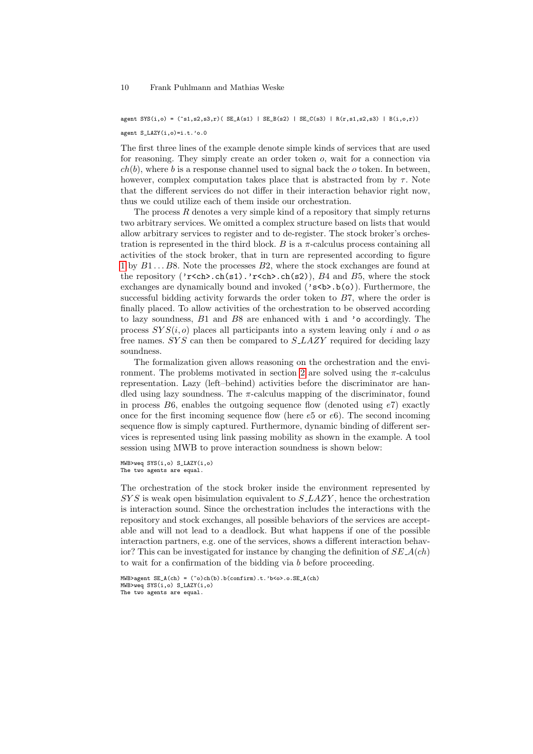agent SYS(i,o) =  $(^ss1,s2,s3,r)$ ( SE\_A(s1) | SE\_B(s2) | SE\_C(s3) | R(r,s1,s2,s3) | B(i,o,r))

agent S\_LAZY(i,o)=i.t.'o.0

The first three lines of the example denote simple kinds of services that are used for reasoning. They simply create an order token o, wait for a connection via  $ch(b)$ , where b is a response channel used to signal back the o token. In between, however, complex computation takes place that is abstracted from by  $\tau$ . Note that the different services do not differ in their interaction behavior right now, thus we could utilize each of them inside our orchestration.

The process  $R$  denotes a very simple kind of a repository that simply returns two arbitrary services. We omitted a complex structure based on lists that would allow arbitrary services to register and to de-register. The stock broker's orchestration is represented in the third block.  $B$  is a  $\pi$ -calculus process containing all activities of the stock broker, that in turn are represented according to figure [1](#page-1-0) by B1 . . . B8. Note the processes B2, where the stock exchanges are found at the repository (' $r$ <ch>.ch(s1).' $r$ <ch>.ch(s2)), B4 and B5, where the stock exchanges are dynamically bound and invoked ('s<br/>b>.b(o)). Furthermore, the successful bidding activity forwards the order token to  $B7$ , where the order is finally placed. To allow activities of the orchestration to be observed according to lazy soundness, B1 and B8 are enhanced with i and 'o accordingly. The process  $SYS(i, o)$  places all participants into a system leaving only i and o as free names.  $SYS$  can then be compared to  $SLAZY$  required for deciding lazy soundness.

The formalization given allows reasoning on the orchestration and the envi-ronment. The problems motivated in section [2](#page-1-1) are solved using the  $\pi$ -calculus representation. Lazy (left–behind) activities before the discriminator are handled using lazy soundness. The  $\pi$ -calculus mapping of the discriminator, found in process  $B6$ , enables the outgoing sequence flow (denoted using  $e7$ ) exactly once for the first incoming sequence flow (here  $e5$  or  $e6$ ). The second incoming sequence flow is simply captured. Furthermore, dynamic binding of different services is represented using link passing mobility as shown in the example. A tool session using MWB to prove interaction soundness is shown below:

```
MWB>weq SYS(i,o) S_LAZY(i,o)
The two agents are equal.
```
The orchestration of the stock broker inside the environment represented by  $SYS$  is weak open bisimulation equivalent to  $S\_{LAT}$ , hence the orchestration is interaction sound. Since the orchestration includes the interactions with the repository and stock exchanges, all possible behaviors of the services are acceptable and will not lead to a deadlock. But what happens if one of the possible interaction partners, e.g. one of the services, shows a different interaction behavior? This can be investigated for instance by changing the definition of  $SE_A(ch)$ to wait for a confirmation of the bidding via b before proceeding.

```
MWB>agent SE_A(ch) = (°o)ch(b).b(confirm).t.^b<o>.SE_A(ch)MWB>weq SYS(i,o) S_LAZY(i,o)
The two agents are equal.
```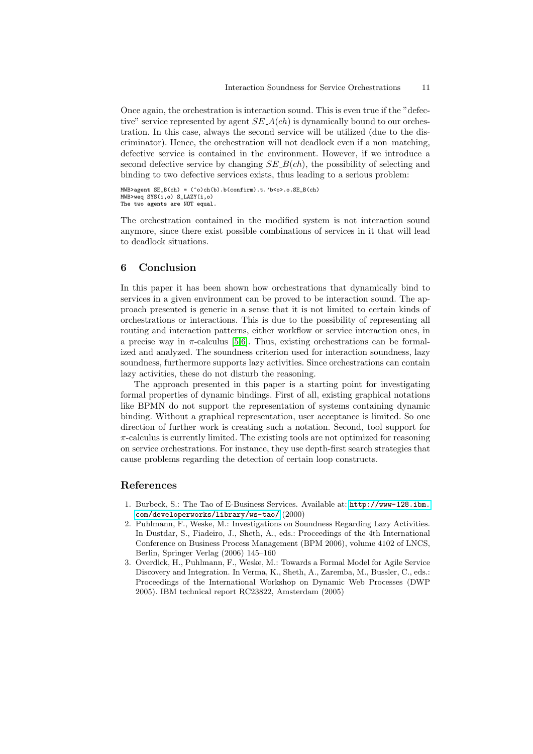Once again, the orchestration is interaction sound. This is even true if the "defective" service represented by agent  $SE_A(ch)$  is dynamically bound to our orchestration. In this case, always the second service will be utilized (due to the discriminator). Hence, the orchestration will not deadlock even if a non–matching, defective service is contained in the environment. However, if we introduce a second defective service by changing  $SE_B(ch)$ , the possibility of selecting and binding to two defective services exists, thus leading to a serious problem:

```
MWB>agent SE_B(ch) = (°o)ch(b).b(confirm).t. 'b<o>.o.SE_B(ch)MWB>weq SYS(i,o) S_LAZY(i,o)
The two agents are NOT equal.
```
The orchestration contained in the modified system is not interaction sound anymore, since there exist possible combinations of services in it that will lead to deadlock situations.

### 6 Conclusion

In this paper it has been shown how orchestrations that dynamically bind to services in a given environment can be proved to be interaction sound. The approach presented is generic in a sense that it is not limited to certain kinds of orchestrations or interactions. This is due to the possibility of representing all routing and interaction patterns, either workflow or service interaction ones, in a precise way in  $\pi$ -calculus [\[5,](#page-11-1)[6\]](#page-11-2). Thus, existing orchestrations can be formalized and analyzed. The soundness criterion used for interaction soundness, lazy soundness, furthermore supports lazy activities. Since orchestrations can contain lazy activities, these do not disturb the reasoning.

The approach presented in this paper is a starting point for investigating formal properties of dynamic bindings. First of all, existing graphical notations like BPMN do not support the representation of systems containing dynamic binding. Without a graphical representation, user acceptance is limited. So one direction of further work is creating such a notation. Second, tool support for  $\pi$ -calculus is currently limited. The existing tools are not optimized for reasoning on service orchestrations. For instance, they use depth-first search strategies that cause problems regarding the detection of certain loop constructs.

## References

- <span id="page-10-0"></span>1. Burbeck, S.: The Tao of E-Business Services. Available at: [http://www-128.ibm.](http://www-128.ibm.com/developerworks/library/ws-tao/) [com/developerworks/library/ws-tao/](http://www-128.ibm.com/developerworks/library/ws-tao/) (2000)
- <span id="page-10-1"></span>2. Puhlmann, F., Weske, M.: Investigations on Soundness Regarding Lazy Activities. In Dustdar, S., Fiadeiro, J., Sheth, A., eds.: Proceedings of the 4th International Conference on Business Process Management (BPM 2006), volume 4102 of LNCS, Berlin, Springer Verlag (2006) 145–160
- <span id="page-10-2"></span>3. Overdick, H., Puhlmann, F., Weske, M.: Towards a Formal Model for Agile Service Discovery and Integration. In Verma, K., Sheth, A., Zaremba, M., Bussler, C., eds.: Proceedings of the International Workshop on Dynamic Web Processes (DWP 2005). IBM technical report RC23822, Amsterdam (2005)